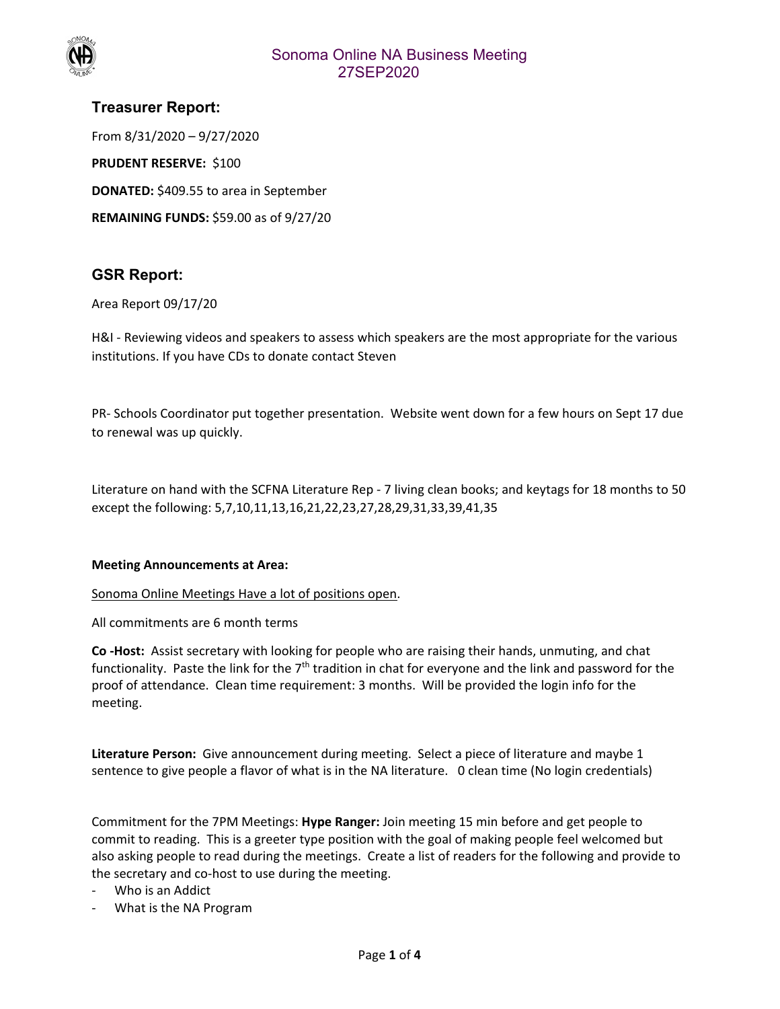

## Sonoma Online NA Business Meeting 27SEP2020

# **Treasurer Report:**  From 8/31/2020 – 9/27/2020 **PRUDENT RESERVE: \$100**

**DONATED:** \$409.55 to area in September

**REMAINING FUNDS:** \$59.00 as of 9/27/20

## **GSR Report:**

#### Area Report 09/17/20

H&I - Reviewing videos and speakers to assess which speakers are the most appropriate for the various institutions. If you have CDs to donate contact Steven

PR‐ Schools Coordinator put together presentation. Website went down for a few hours on Sept 17 due to renewal was up quickly.

Literature on hand with the SCFNA Literature Rep ‐ 7 living clean books; and keytags for 18 months to 50 except the following: 5,7,10,11,13,16,21,22,23,27,28,29,31,33,39,41,35

#### **Meeting Announcements at Area:**

Sonoma Online Meetings Have a lot of positions open.

All commitments are 6 month terms

**Co ‐Host:** Assist secretary with looking for people who are raising their hands, unmuting, and chat functionality. Paste the link for the  $7<sup>th</sup>$  tradition in chat for everyone and the link and password for the proof of attendance. Clean time requirement: 3 months. Will be provided the login info for the meeting.

**Literature Person:** Give announcement during meeting. Select a piece of literature and maybe 1 sentence to give people a flavor of what is in the NA literature. 0 clean time (No login credentials)

Commitment for the 7PM Meetings: **Hype Ranger:** Join meeting 15 min before and get people to commit to reading. This is a greeter type position with the goal of making people feel welcomed but also asking people to read during the meetings. Create a list of readers for the following and provide to the secretary and co‐host to use during the meeting.

- ‐ Who is an Addict
- ‐ What is the NA Program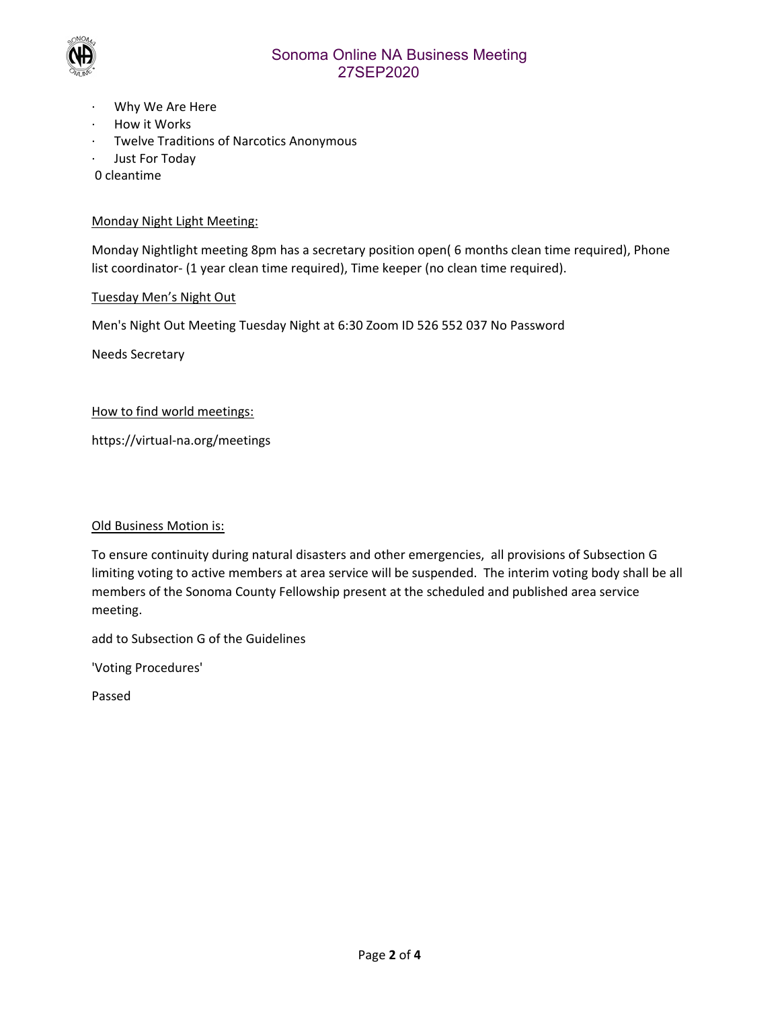

## Sonoma Online NA Business Meeting 27SEP2020

- ∙ Why We Are Here
- ∙ How it Works
- ∙ Twelve Traditions of Narcotics Anonymous
- ∙ Just For Today

0 cleantime

#### Monday Night Light Meeting:

Monday Nightlight meeting 8pm has a secretary position open( 6 months clean time required), Phone list coordinator‐ (1 year clean time required), Time keeper (no clean time required).

#### Tuesday Men's Night Out

Men's Night Out Meeting Tuesday Night at 6:30 Zoom ID 526 552 037 No Password

Needs Secretary

#### How to find world meetings:

https://virtual‐na.org/meetings

#### Old Business Motion is:

To ensure continuity during natural disasters and other emergencies, all provisions of Subsection G limiting voting to active members at area service will be suspended. The interim voting body shall be all members of the Sonoma County Fellowship present at the scheduled and published area service meeting.

add to Subsection G of the Guidelines

'Voting Procedures'

Passed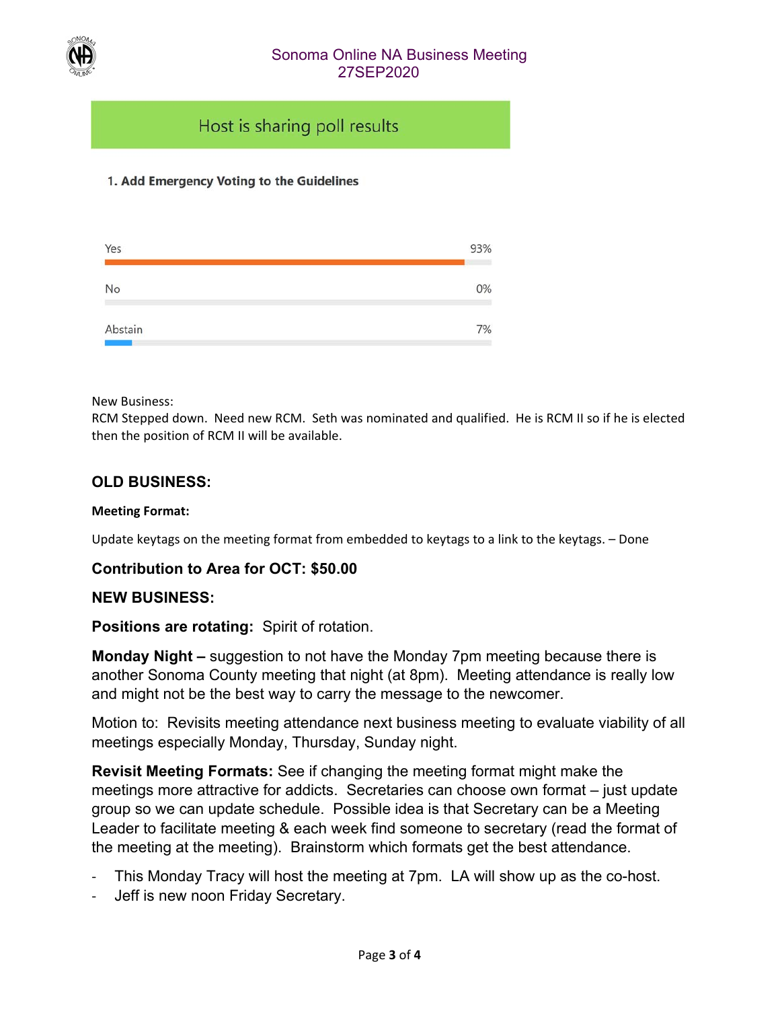

## Sonoma Online NA Business Meeting 27SEP2020

# Host is sharing poll results

## 1. Add Emergency Voting to the Guidelines



New Business:

RCM Stepped down. Need new RCM. Seth was nominated and qualified. He is RCM II so if he is elected then the position of RCM II will be available.

## **OLD BUSINESS:**

#### **Meeting Format:**

Update keytags on the meeting format from embedded to keytags to a link to the keytags. – Done

### **Contribution to Area for OCT: \$50.00**

### **NEW BUSINESS:**

### **Positions are rotating:** Spirit of rotation.

**Monday Night –** suggestion to not have the Monday 7pm meeting because there is another Sonoma County meeting that night (at 8pm). Meeting attendance is really low and might not be the best way to carry the message to the newcomer.

Motion to: Revisits meeting attendance next business meeting to evaluate viability of all meetings especially Monday, Thursday, Sunday night.

**Revisit Meeting Formats:** See if changing the meeting format might make the meetings more attractive for addicts. Secretaries can choose own format – just update group so we can update schedule. Possible idea is that Secretary can be a Meeting Leader to facilitate meeting & each week find someone to secretary (read the format of the meeting at the meeting). Brainstorm which formats get the best attendance.

- ‐ This Monday Tracy will host the meeting at 7pm. LA will show up as the co-host.
- Jeff is new noon Friday Secretary.